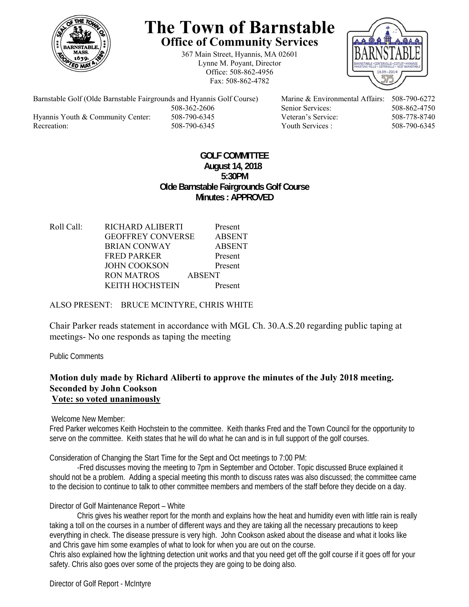

# **The Town of Barnstable Office of Community Services**

367 Main Street, Hyannis, MA 02601 Lynne M. Poyant, Director Office: 508-862-4956 Fax: 508-862-4782



Barnstable Golf (Olde Barnstable Fairgrounds and Hyannis Golf Course) Marine & Environmental Affairs: 508-790-6272 Hyannis Youth & Community Center: 508-790-6345 Veteran's Service: 508-778-8740 Recreation: 508-790-6345 Youth Services : 508-790-6345 S08-790-6345

508-362-2606 Senior Services: 508-862-4750

#### **GOLF COMMITTEE August 14, 2018 5:30PM Olde Barnstable Fairgrounds Golf Course Minutes : APPROVED**

| Roll Call: | RICHARD ALIBERTI         |               | Present       |
|------------|--------------------------|---------------|---------------|
|            | <b>GEOFFREY CONVERSE</b> |               | <b>ABSENT</b> |
|            | <b>BRIAN CONWAY</b>      |               | <b>ABSENT</b> |
|            | <b>FRED PARKER</b>       |               | Present       |
|            | <b>JOHN COOKSON</b>      |               | Present       |
|            | RON MATROS               | <b>ABSENT</b> |               |
|            | <b>KEITH HOCHSTEIN</b>   |               | Present       |
|            |                          |               |               |

### ALSO PRESENT: BRUCE MCINTYRE, CHRIS WHITE

Chair Parker reads statement in accordance with MGL Ch. 30.A.S.20 regarding public taping at meetings- No one responds as taping the meeting

Public Comments

#### **Motion duly made by Richard Aliberti to approve the minutes of the July 2018 meeting. Seconded by John Cookson Vote: so voted unanimously**

Welcome New Member:

Fred Parker welcomes Keith Hochstein to the committee. Keith thanks Fred and the Town Council for the opportunity to serve on the committee. Keith states that he will do what he can and is in full support of the golf courses.

Consideration of Changing the Start Time for the Sept and Oct meetings to 7:00 PM:

-Fred discusses moving the meeting to 7pm in September and October. Topic discussed Bruce explained it should not be a problem. Adding a special meeting this month to discuss rates was also discussed; the committee came to the decision to continue to talk to other committee members and members of the staff before they decide on a day.

Director of Golf Maintenance Report – White

 Chris gives his weather report for the month and explains how the heat and humidity even with little rain is really taking a toll on the courses in a number of different ways and they are taking all the necessary precautions to keep everything in check. The disease pressure is very high. John Cookson asked about the disease and what it looks like and Chris gave him some examples of what to look for when you are out on the course.

Chris also explained how the lightning detection unit works and that you need get off the golf course if it goes off for your safety. Chris also goes over some of the projects they are going to be doing also.

Director of Golf Report - McIntyre